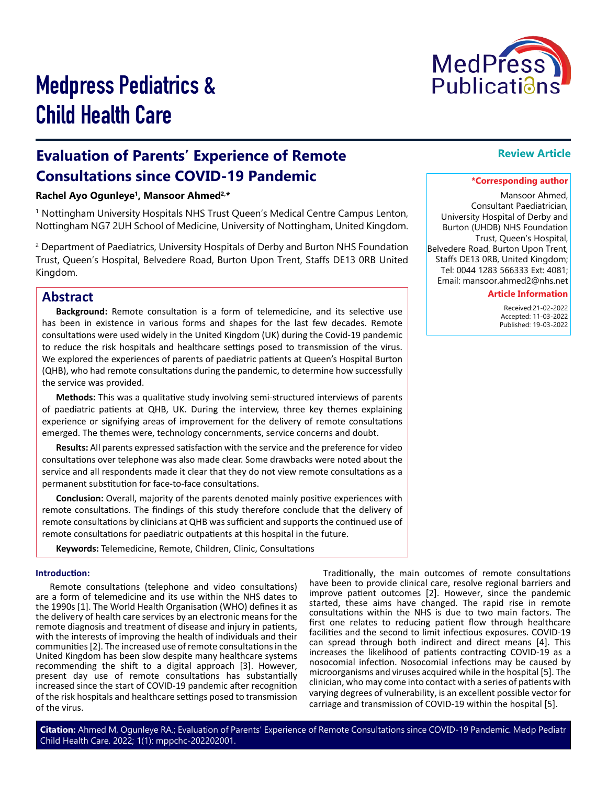

# Medpress Pediatrics & Child Health Care

# **Evaluation of Parents' Experience of Remote Consultations since COVID-19 Pandemic**

## **Rachel Ayo Ogunleye1, Mansoor Ahmed2,\***

1 Nottingham University Hospitals NHS Trust Queen's Medical Centre Campus Lenton, Nottingham NG7 2UH School of Medicine, University of Nottingham, United Kingdom.

2 Department of Paediatrics, University Hospitals of Derby and Burton NHS Foundation Trust, Queen's Hospital, Belvedere Road, Burton Upon Trent, Staffs DE13 0RB United Kingdom.

# **Abstract**

**Background:** Remote consultation is a form of telemedicine, and its selective use has been in existence in various forms and shapes for the last few decades. Remote consultations were used widely in the United Kingdom (UK) during the Covid-19 pandemic to reduce the risk hospitals and healthcare settings posed to transmission of the virus. We explored the experiences of parents of paediatric patients at Queen's Hospital Burton (QHB), who had remote consultations during the pandemic, to determine how successfully the service was provided.

**Methods:** This was a qualitative study involving semi-structured interviews of parents of paediatric patients at QHB, UK. During the interview, three key themes explaining experience or signifying areas of improvement for the delivery of remote consultations emerged. The themes were, technology concernments, service concerns and doubt.

**Results:** All parents expressed satisfaction with the service and the preference for video consultations over telephone was also made clear. Some drawbacks were noted about the service and all respondents made it clear that they do not view remote consultations as a permanent substitution for face-to-face consultations.

**Conclusion:** Overall, majority of the parents denoted mainly positive experiences with remote consultations. The findings of this study therefore conclude that the delivery of remote consultations by clinicians at QHB was sufficient and supports the continued use of remote consultations for paediatric outpatients at this hospital in the future.

**Keywords:** Telemedicine, Remote, Children, Clinic, Consultations

#### **Introduction:**

Remote consultations (telephone and video consultations) are a form of telemedicine and its use within the NHS dates to the 1990s [1]. The World Health Organisation (WHO) defines it as the delivery of health care services by an electronic means for the remote diagnosis and treatment of disease and injury in patients, with the interests of improving the health of individuals and their communities [2]. The increased use of remote consultations in the United Kingdom has been slow despite many healthcare systems recommending the shift to a digital approach [3]. However, present day use of remote consultations has substantially increased since the start of COVID-19 pandemic after recognition of the risk hospitals and healthcare settings posed to transmission of the virus.

Traditionally, the main outcomes of remote consultations have been to provide clinical care, resolve regional barriers and improve patient outcomes [2]. However, since the pandemic started, these aims have changed. The rapid rise in remote consultations within the NHS is due to two main factors. The first one relates to reducing patient flow through healthcare facilities and the second to limit infectious exposures. COVID-19 can spread through both indirect and direct means [4]. This increases the likelihood of patients contracting COVID-19 as a nosocomial infection. Nosocomial infections may be caused by microorganisms and viruses acquired while in the hospital [5]. The clinician, who may come into contact with a series of patients with varying degrees of vulnerability, is an excellent possible vector for carriage and transmission of COVID-19 within the hospital [5].

### **Review Article**

#### **\*Corresponding author**

Mansoor Ahmed, Consultant Paediatrician, University Hospital of Derby and Burton (UHDB) NHS Foundation Trust, Queen's Hospital, Belvedere Road, Burton Upon Trent, Staffs DE13 0RB, United Kingdom; Tel: 0044 1283 566333 Ext: 4081; Email: mansoor.ahmed2@nhs.net

#### **Article Information**

 Received:21-02-2022 Accepted: 11-03-2022 Published: 19-03-2022

**Citation:** Ahmed M, Ogunleye RA.; Evaluation of Parents' Experience of Remote Consultations since COVID-19 Pandemic. Medp Pediatr Child Health Care. 2022; 1(1): mppchc-202202001.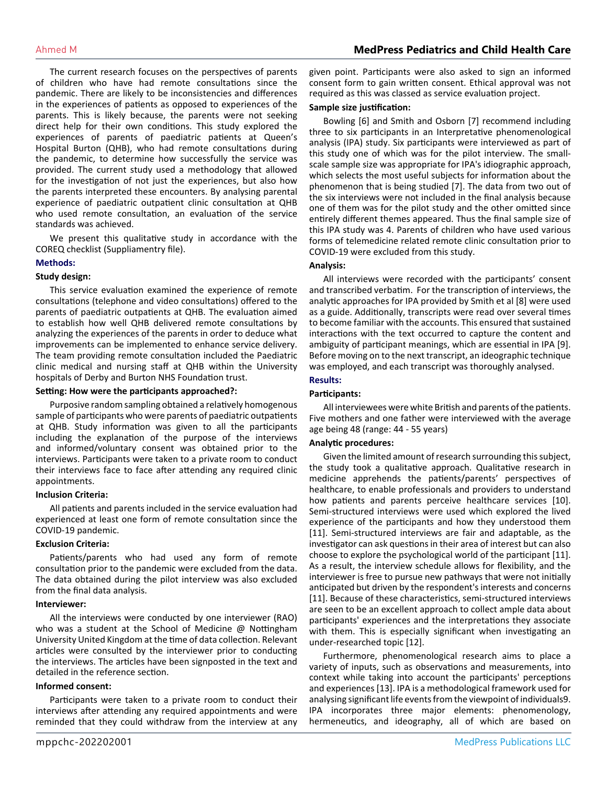The current research focuses on the perspectives of parents of children who have had remote consultations since the pandemic. There are likely to be inconsistencies and differences in the experiences of patients as opposed to experiences of the parents. This is likely because, the parents were not seeking direct help for their own conditions. This study explored the experiences of parents of paediatric patients at Queen's Hospital Burton (QHB), who had remote consultations during the pandemic, to determine how successfully the service was provided. The current study used a methodology that allowed for the investigation of not just the experiences, but also how the parents interpreted these encounters. By analysing parental experience of paediatric outpatient clinic consultation at QHB who used remote consultation, an evaluation of the service standards was achieved.

We present this qualitative study in accordance with the COREQ checklist (Suppliamentry file).

#### **Methods:**

#### **Study design:**

This service evaluation examined the experience of remote consultations (telephone and video consultations) offered to the parents of paediatric outpatients at QHB. The evaluation aimed to establish how well QHB delivered remote consultations by analyzing the experiences of the parents in order to deduce what improvements can be implemented to enhance service delivery. The team providing remote consultation included the Paediatric clinic medical and nursing staff at QHB within the University hospitals of Derby and Burton NHS Foundation trust.

#### **Setting: How were the participants approached?:**

Purposive random sampling obtained a relatively homogenous sample of participants who were parents of paediatric outpatients at QHB. Study information was given to all the participants including the explanation of the purpose of the interviews and informed/voluntary consent was obtained prior to the interviews. Participants were taken to a private room to conduct their interviews face to face after attending any required clinic appointments.

#### **Inclusion Criteria:**

All patients and parents included in the service evaluation had experienced at least one form of remote consultation since the COVID-19 pandemic.

#### **Exclusion Criteria:**

Patients/parents who had used any form of remote consultation prior to the pandemic were excluded from the data. The data obtained during the pilot interview was also excluded from the final data analysis.

#### **Interviewer:**

All the interviews were conducted by one interviewer (RAO) who was a student at the School of Medicine @ Nottingham University United Kingdom at the time of data collection. Relevant articles were consulted by the interviewer prior to conducting the interviews. The articles have been signposted in the text and detailed in the reference section.

#### **Informed consent:**

Participants were taken to a private room to conduct their interviews after attending any required appointments and were reminded that they could withdraw from the interview at any

given point. Participants were also asked to sign an informed consent form to gain written consent. Ethical approval was not required as this was classed as service evaluation project.

#### **Sample size justification:**

Bowling [6] and Smith and Osborn [7] recommend including three to six participants in an Interpretative phenomenological analysis (IPA) study. Six participants were interviewed as part of this study one of which was for the pilot interview. The smallscale sample size was appropriate for IPA's idiographic approach, which selects the most useful subjects for information about the phenomenon that is being studied [7]. The data from two out of the six interviews were not included in the final analysis because one of them was for the pilot study and the other omitted since entirely different themes appeared. Thus the final sample size of this IPA study was 4. Parents of children who have used various forms of telemedicine related remote clinic consultation prior to COVID-19 were excluded from this study.

#### **Analysis:**

All interviews were recorded with the participants' consent and transcribed verbatim. For the transcription of interviews, the analytic approaches for IPA provided by Smith et al [8] were used as a guide. Additionally, transcripts were read over several times to become familiar with the accounts. This ensured that sustained interactions with the text occurred to capture the content and ambiguity of participant meanings, which are essential in IPA [9]. Before moving on to the next transcript, an ideographic technique was employed, and each transcript was thoroughly analysed.

#### **Results:**

#### **Participants:**

All interviewees were white British and parents of the patients. Five mothers and one father were interviewed with the average age being 48 (range: 44 - 55 years)

#### **Analytic procedures:**

Given the limited amount of research surrounding this subject, the study took a qualitative approach. Qualitative research in medicine apprehends the patients/parents' perspectives of healthcare, to enable professionals and providers to understand how patients and parents perceive healthcare services [10]. Semi-structured interviews were used which explored the lived experience of the participants and how they understood them [11]. Semi-structured interviews are fair and adaptable, as the investigator can ask questions in their area of interest but can also choose to explore the psychological world of the participant [11]. As a result, the interview schedule allows for flexibility, and the interviewer is free to pursue new pathways that were not initially anticipated but driven by the respondent's interests and concerns [11]. Because of these characteristics, semi-structured interviews are seen to be an excellent approach to collect ample data about participants' experiences and the interpretations they associate with them. This is especially significant when investigating an under-researched topic [12].

Furthermore, phenomenological research aims to place a variety of inputs, such as observations and measurements, into context while taking into account the participants' perceptions and experiences [13]. IPA is a methodological framework used for analysing significant life events from the viewpoint of individuals9. IPA incorporates three major elements: phenomenology, hermeneutics, and ideography, all of which are based on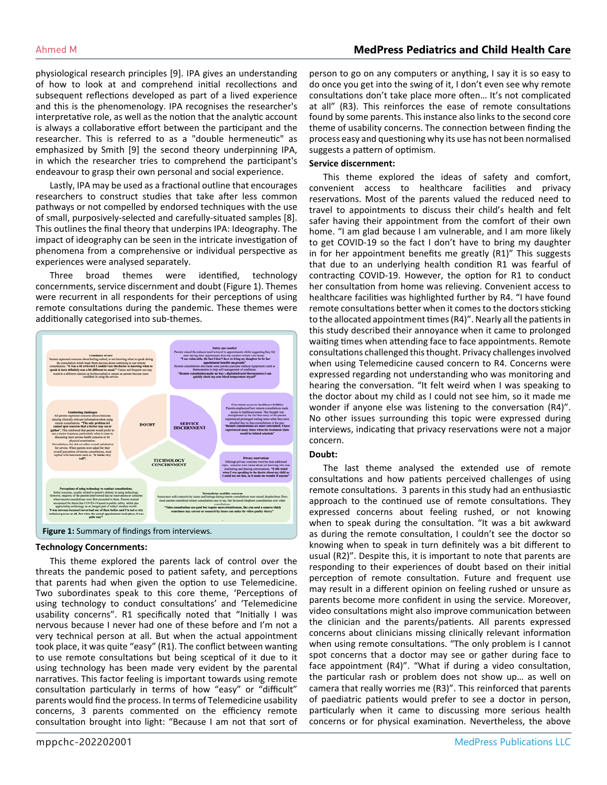physiological research principles [9]. IPA gives an understanding of how to look at and comprehend initial recollections and subsequent reflections developed as part of a lived experience and this is the phenomenology. IPA recognises the researcher's interpretative role, as well as the notion that the analytic account is always a collaborative effort between the participant and the researcher. This is referred to as a "double hermeneutic" as emphasized by Smith [9] the second theory underpinning IPA, in which the researcher tries to comprehend the participant's endeavour to grasp their own personal and social experience.

Lastly, IPA may be used as a fractional outline that encourages researchers to construct studies that take after less common pathways or not compelled by endorsed techniques with the use of small, purposively-selected and carefully-situated samples [8]. This outlines the final theory that underpins IPA: Ideography. The impact of ideography can be seen in the intricate investigation of phenomena from a comprehensive or individual perspective as experiences were analysed separately.

Three broad themes were identified, technology concernments, service discernment and doubt (Figure 1). Themes were recurrent in all respondents for their perceptions of using remote consultations during the pandemic. These themes were additionally categorised into sub-themes.



#### **Technology Concernments:**

This theme explored the parents lack of control over the threats the pandemic posed to patient safety, and perceptions that parents had when given the option to use Telemedicine. Two subordinates speak to this core theme, 'Perceptions of using technology to conduct consultations' and 'Telemedicine usability concerns". R1 specifically noted that "Initially I was nervous because I never had one of these before and I'm not a very technical person at all. But when the actual appointment took place, it was quite "easy" (R1). The conflict between wanting to use remote consultations but being sceptical of it due to it using technology has been made very evident by the parental narratives. This factor feeling is important towards using remote consultation particularly in terms of how "easy" or "difficult" parents would find the process. In terms of Telemedicine usability concerns, 3 parents commented on the efficiency remote consultation brought into light: "Because I am not that sort of

person to go on any computers or anything, I say it is so easy to do once you get into the swing of it, I don't even see why remote consultations don't take place more often… It's not complicated at all" (R3). This reinforces the ease of remote consultations found by some parents. This instance also links to the second core theme of usability concerns. The connection between finding the process easy and questioning why its use has not been normalised suggests a pattern of optimism.

#### **Service discernment:**

This theme explored the ideas of safety and comfort, convenient access to healthcare facilities and privacy reservations. Most of the parents valued the reduced need to travel to appointments to discuss their child's health and felt safer having their appointment from the comfort of their own home. "I am glad because I am vulnerable, and I am more likely to get COVID-19 so the fact I don't have to bring my daughter in for her appointment benefits me greatly (R1)" This suggests that due to an underlying health condition R1 was fearful of contracting COVID-19. However, the option for R1 to conduct her consultation from home was relieving. Convenient access to healthcare facilities was highlighted further by R4. "I have found remote consultations better when it comes to the doctors sticking to the allocated appointment times (R4)". Nearly all the patients in this study described their annoyance when it came to prolonged waiting times when attending face to face appointments. Remote consultations challenged this thought. Privacy challenges involved when using Telemedicine caused concern to R4. Concerns were expressed regarding not understanding who was monitoring and hearing the conversation. "It felt weird when I was speaking to the doctor about my child as I could not see him, so it made me wonder if anyone else was listening to the conversation (R4)". No other issues surrounding this topic were expressed during interviews, indicating that privacy reservations were not a major concern.

#### **Doubt:**

The last theme analysed the extended use of remote consultations and how patients perceived challenges of using remote consultations. 3 parents in this study had an enthusiastic approach to the continued use of remote consultations. They expressed concerns about feeling rushed, or not knowing when to speak during the consultation. "It was a bit awkward as during the remote consultation, I couldn't see the doctor so knowing when to speak in turn definitely was a bit different to usual (R2)". Despite this, it is important to note that parents are responding to their experiences of doubt based on their initial perception of remote consultation. Future and frequent use may result in a different opinion on feeling rushed or unsure as parents become more confident in using the service. Moreover, video consultations might also improve communication between the clinician and the parents/patients. All parents expressed concerns about clinicians missing clinically relevant information when using remote consultations. "The only problem is I cannot spot concerns that a doctor may see or gather during face to face appointment (R4)". "What if during a video consultation, the particular rash or problem does not show up… as well on camera that really worries me (R3)". This reinforced that parents of paediatric patients would prefer to see a doctor in person, particularly when it came to discussing more serious health concerns or for physical examination. Nevertheless, the above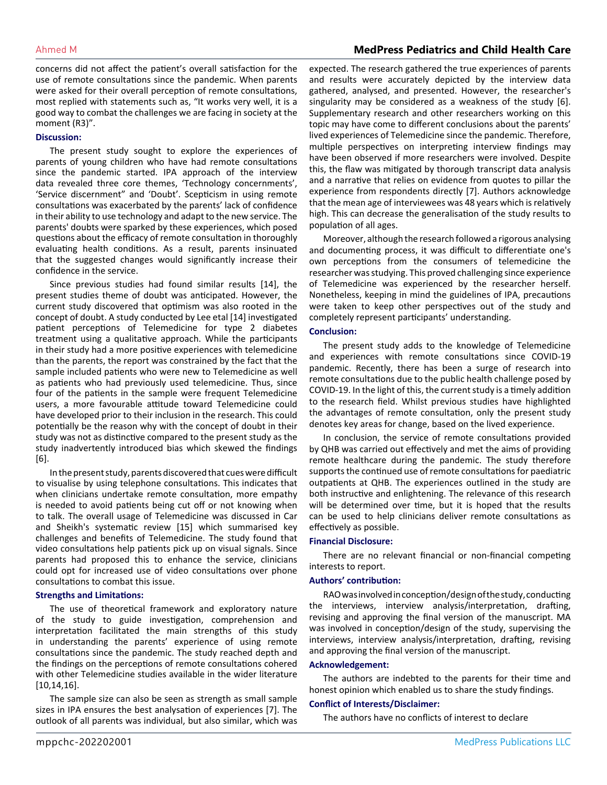# Ahmed M **MedPress Pediatrics and Child Health Care**

concerns did not affect the patient's overall satisfaction for the use of remote consultations since the pandemic. When parents were asked for their overall perception of remote consultations, most replied with statements such as, "It works very well, it is a good way to combat the challenges we are facing in society at the moment (R3)".

#### **Discussion:**

The present study sought to explore the experiences of parents of young children who have had remote consultations since the pandemic started. IPA approach of the interview data revealed three core themes, 'Technology concernments', 'Service discernment" and 'Doubt'. Scepticism in using remote consultations was exacerbated by the parents' lack of confidence in their ability to use technology and adapt to the new service. The parents' doubts were sparked by these experiences, which posed questions about the efficacy of remote consultation in thoroughly evaluating health conditions. As a result, parents insinuated that the suggested changes would significantly increase their confidence in the service.

Since previous studies had found similar results [14], the present studies theme of doubt was anticipated. However, the current study discovered that optimism was also rooted in the concept of doubt. A study conducted by Lee etal [14] investigated patient perceptions of Telemedicine for type 2 diabetes treatment using a qualitative approach. While the participants in their study had a more positive experiences with telemedicine than the parents, the report was constrained by the fact that the sample included patients who were new to Telemedicine as well as patients who had previously used telemedicine. Thus, since four of the patients in the sample were frequent Telemedicine users, a more favourable attitude toward Telemedicine could have developed prior to their inclusion in the research. This could potentially be the reason why with the concept of doubt in their study was not as distinctive compared to the present study as the study inadvertently introduced bias which skewed the findings [6].

In the present study, parents discovered that cues were difficult to visualise by using telephone consultations. This indicates that when clinicians undertake remote consultation, more empathy is needed to avoid patients being cut off or not knowing when to talk. The overall usage of Telemedicine was discussed in Car and Sheikh's systematic review [15] which summarised key challenges and benefits of Telemedicine. The study found that video consultations help patients pick up on visual signals. Since parents had proposed this to enhance the service, clinicians could opt for increased use of video consultations over phone consultations to combat this issue.

#### **Strengths and Limitations:**

The use of theoretical framework and exploratory nature of the study to guide investigation, comprehension and interpretation facilitated the main strengths of this study in understanding the parents' experience of using remote consultations since the pandemic. The study reached depth and the findings on the perceptions of remote consultations cohered with other Telemedicine studies available in the wider literature [10,14,16].

The sample size can also be seen as strength as small sample sizes in IPA ensures the best analysation of experiences [7]. The outlook of all parents was individual, but also similar, which was expected. The research gathered the true experiences of parents and results were accurately depicted by the interview data gathered, analysed, and presented. However, the researcher's singularity may be considered as a weakness of the study [6]. Supplementary research and other researchers working on this topic may have come to different conclusions about the parents' lived experiences of Telemedicine since the pandemic. Therefore, multiple perspectives on interpreting interview findings may have been observed if more researchers were involved. Despite this, the flaw was mitigated by thorough transcript data analysis and a narrative that relies on evidence from quotes to pillar the experience from respondents directly [7]. Authors acknowledge that the mean age of interviewees was 48 years which is relatively high. This can decrease the generalisation of the study results to population of all ages.

Moreover, although the research followed a rigorous analysing and documenting process, it was difficult to differentiate one's own perceptions from the consumers of telemedicine the researcher was studying. This proved challenging since experience of Telemedicine was experienced by the researcher herself. Nonetheless, keeping in mind the guidelines of IPA, precautions were taken to keep other perspectives out of the study and completely represent participants' understanding.

#### **Conclusion:**

The present study adds to the knowledge of Telemedicine and experiences with remote consultations since COVID-19 pandemic. Recently, there has been a surge of research into remote consultations due to the public health challenge posed by COVID-19. In the light of this, the current study is a timely addition to the research field. Whilst previous studies have highlighted the advantages of remote consultation, only the present study denotes key areas for change, based on the lived experience.

In conclusion, the service of remote consultations provided by QHB was carried out effectively and met the aims of providing remote healthcare during the pandemic. The study therefore supports the continued use of remote consultations for paediatric outpatients at QHB. The experiences outlined in the study are both instructive and enlightening. The relevance of this research will be determined over time, but it is hoped that the results can be used to help clinicians deliver remote consultations as effectively as possible.

#### **Financial Disclosure:**

There are no relevant financial or non-financial competing interests to report.

#### **Authors' contribution:**

RAO was involved in conception/design of the study, conducting the interviews, interview analysis/interpretation, drafting, revising and approving the final version of the manuscript. MA was involved in conception/design of the study, supervising the interviews, interview analysis/interpretation, drafting, revising and approving the final version of the manuscript.

#### **Acknowledgement:**

The authors are indebted to the parents for their time and honest opinion which enabled us to share the study findings.

#### **Conflict of Interests/Disclaimer:**

The authors have no conflicts of interest to declare